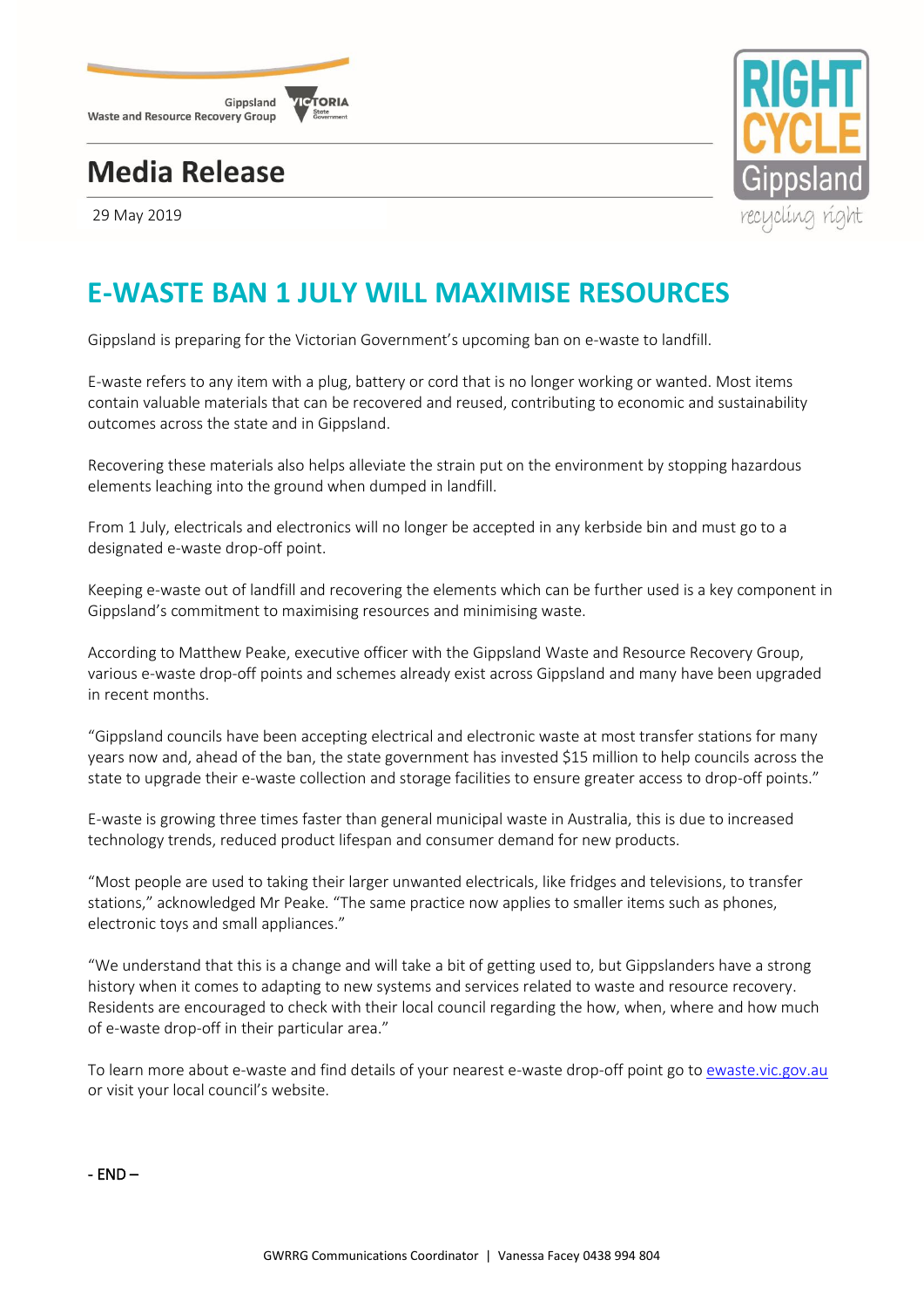

## **Media Release**



29 May 2019

## **E-WASTE BAN 1 JULY WILL MAXIMISE RESOURCES**

Gippsland is preparing for the Victorian Government's upcoming ban on e-waste to landfill.

E-waste refers to any item with a plug, battery or cord that is no longer working or wanted. Most items contain valuable materials that can be recovered and reused, contributing to economic and sustainability outcomes across the state and in Gippsland.

Recovering these materials also helps alleviate the strain put on the environment by stopping hazardous elements leaching into the ground when dumped in landfill.

From 1 July, electricals and electronics will no longer be accepted in any kerbside bin and must go to a designated e-waste drop-off point.

Keeping e-waste out of landfill and recovering the elements which can be further used is a key component in Gippsland's commitment to maximising resources and minimising waste.

According to Matthew Peake, executive officer with the Gippsland Waste and Resource Recovery Group, various e-waste drop-off points and schemes already exist across Gippsland and many have been upgraded in recent months.

"Gippsland councils have been accepting electrical and electronic waste at most transfer stations for many years now and, ahead of the ban, the state government has invested \$15 million to help councils across the state to upgrade their e-waste collection and storage facilities to ensure greater access to drop-off points."

E-waste is growing three times faster than general municipal waste in Australia, this is due to increased technology trends, reduced product lifespan and consumer demand for new products.

"Most people are used to taking their larger unwanted electricals, like fridges and televisions, to transfer stations," acknowledged Mr Peake. "The same practice now applies to smaller items such as phones, electronic toys and small appliances."

"We understand that this is a change and will take a bit of getting used to, but Gippslanders have a strong history when it comes to adapting to new systems and services related to waste and resource recovery. Residents are encouraged to check with their local council regarding the how, when, where and how much of e-waste drop-off in their particular area."

To learn more about e-waste and find details of your nearest e-waste drop-off point go to [ewaste.vic.gov.au](http://www.ewaste.vic.gov.au/) or visit your local council's website.

- END –